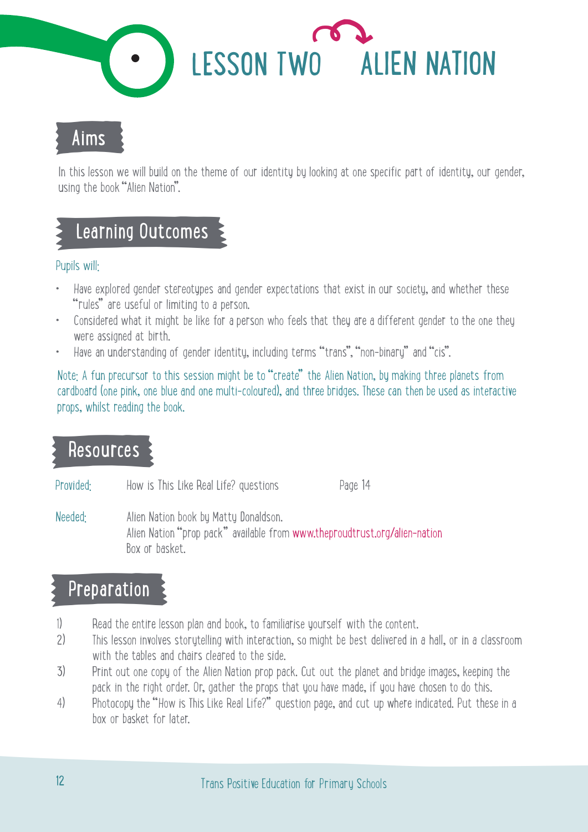

### Aims

Fraction Straight Straight Straight Straight Straight Straight Straight Straight Straight Straight Straight Straight Straight Straight Straight Straight Straight Straight Straight Straight Straight Straight Straight Straig Final States of the William States of the Susing the book "Alien Nation".<br>
States of the Book "Alien Nation".<br>
Pupils will:<br>
Canting Outcomes<br>
Pupils will:<br>
Tules" are useful or limiting to a persent of the States" are use In this lesson we will build on the theme of our identity by looking at one specific part of identity, our gender,

### Pupils will:

- Have explored gender stereotypes and gender expectations that exist in our society, and whether these "rules" are useful or limiting to a person.
- Considered what it might be like for a person who feels that they are a different gender to the one they were assigned at birth.
- Have an understanding of gender identity, including terms "trans", "non-binary" and "cis".

Note: A fun precursor to this session might be to "create" the Alien Nation, by making three planets from cardboard (one pink, one blue and one multi-coloured), and three bridges. These can then be used as interactive props, whilst reading the book.

# Resources<br>Provided: Hov<br>Needed: Alia

How is This Like Real Life? questions Page 14

Alien Nation book by Matty Donaldson. Alien Nation "prop pack" available from www.theproudtrust.org/alien-nation Box or basket.

## $\begin{array}{cc}\n\cdot & \textbf{Preparation} \\
\hline\n\text{1)} & \textbf{Read the entity} \\
\text{2)} & \textbf{This lesson in} \\
\end{array}$

- Read the entire lesson plan and book, to familiarise yourself with the content.
- 2) This lesson involves storytelling with interaction, so might be best delivered in a hall, or in a classroom with the tables and chairs cleared to the side.
- 3) Print out one copy of the Alien Nation prop pack. Cut out the planet and bridge images, keeping the pack in the right order. Or, gather the props that you have made, if you have chosen to do this.
- 4) Photocopy the "How is This Like Real Life?" question page, and cut up where indicated. Put these in a box or basket for later.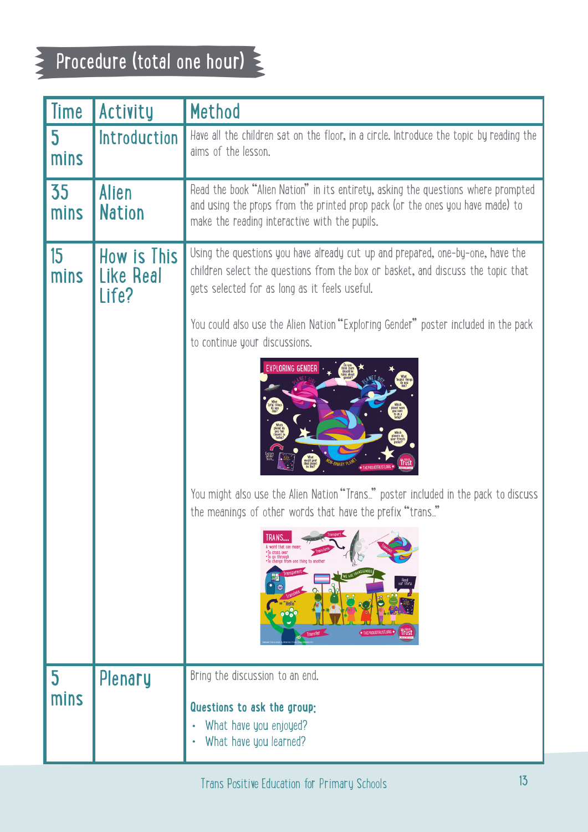### $\ge$  Procedure (total one hour)  $\ge$

| Time                            | Activity               | Method                                                                                                                                                                                                                                                                                                                |
|---------------------------------|------------------------|-----------------------------------------------------------------------------------------------------------------------------------------------------------------------------------------------------------------------------------------------------------------------------------------------------------------------|
| $5\phantom{.0}$<br>mins         |                        | Introduction   Have all the children sat on the floor, in a circle. Introduce the topic by reading the<br>aims of the lesson.                                                                                                                                                                                         |
| 35<br>mins                      | <b>Alien</b><br>Nation | Read the book "Alien Nation" in its entirety, asking the questions where prompted<br>and using the props from the printed prop pack (or the ones you have made) to<br>make the reading interactive with the pupils.                                                                                                   |
| 15<br>mins                      | Like Real<br>Life?     | How is This Using the questions you have already cut up and prepared, one-by-one, have the<br>children select the questions from the box or basket, and discuss the topic that<br>gets selected for as long as it feels useful.<br>You could also use the Alien Nation "Exploring Gender" poster included in the pack |
|                                 |                        | to continue your discussions.                                                                                                                                                                                                                                                                                         |
|                                 |                        | You might also use the Alien Nation "Trans" poster included in the pack to discuss<br>the meanings of other words that have the prefix "trans"<br>Transport<br>A word that can mean:<br>*To cross over<br>*To go through<br>*To change from one thing to anoth<br>Read<br>our story                                   |
|                                 |                        |                                                                                                                                                                                                                                                                                                                       |
| $\overline{\mathbf{5}}$<br>mins | Plenary                | Bring the discussion to an end.<br>Questions to ask the group:<br>• What have you enjoyed?<br>• What have you learned?                                                                                                                                                                                                |